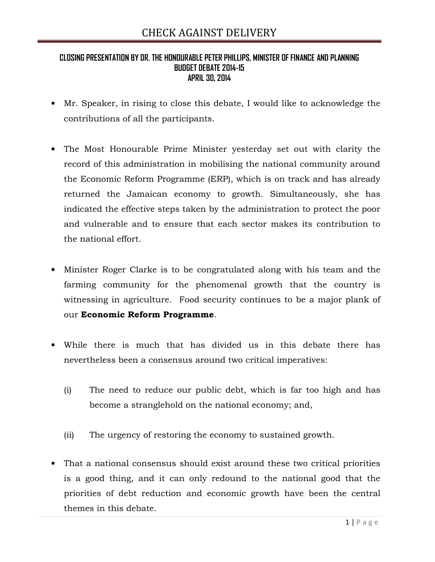### CLOSING PRESENTATION BY DR. THE HONOURABLE PETER PHILLIPS, MINISTER OF FINANCE AND PLANNING BUDGET DEBATE 2014-15 APRIL 30, 2014

- Mr. Speaker, in rising to close this debate, I would like to acknowledge the contributions of all the participants.
- The Most Honourable Prime Minister yesterday set out with clarity the record of this administration in mobilising the national community around the Economic Reform Programme (ERP), which is on track and has already returned the Jamaican economy to growth. Simultaneously, she has indicated the effective steps taken by the administration to protect the poor and vulnerable and to ensure that each sector makes its contribution to the national effort.
- Minister Roger Clarke is to be congratulated along with his team and the farming community for the phenomenal growth that the country is witnessing in agriculture. Food security continues to be a major plank of our Economic Reform Programme.
- While there is much that has divided us in this debate there has nevertheless been a consensus around two critical imperatives:
	- (i) The need to reduce our public debt, which is far too high and has become a stranglehold on the national economy; and,
	- (ii) The urgency of restoring the economy to sustained growth.
- That a national consensus should exist around these two critical priorities is a good thing, and it can only redound to the national good that the priorities of debt reduction and economic growth have been the central themes in this debate.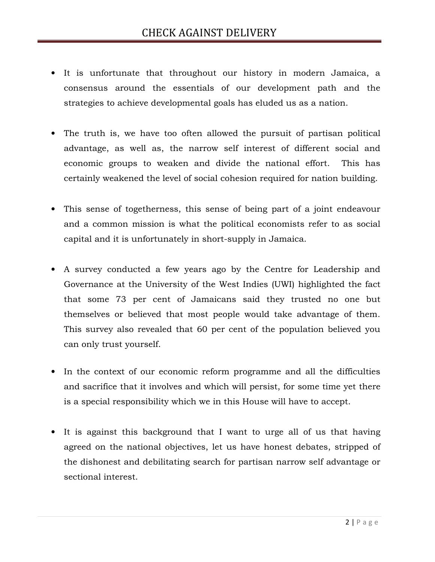- It is unfortunate that throughout our history in modern Jamaica, a consensus around the essentials of our development path and the strategies to achieve developmental goals has eluded us as a nation.
- The truth is, we have too often allowed the pursuit of partisan political advantage, as well as, the narrow self interest of different social and economic groups to weaken and divide the national effort. This has certainly weakened the level of social cohesion required for nation building.
- This sense of togetherness, this sense of being part of a joint endeavour and a common mission is what the political economists refer to as social capital and it is unfortunately in short-supply in Jamaica.
- A survey conducted a few years ago by the Centre for Leadership and Governance at the University of the West Indies (UWI) highlighted the fact that some 73 per cent of Jamaicans said they trusted no one but themselves or believed that most people would take advantage of them. This survey also revealed that 60 per cent of the population believed you can only trust yourself.
- In the context of our economic reform programme and all the difficulties and sacrifice that it involves and which will persist, for some time yet there is a special responsibility which we in this House will have to accept.
- It is against this background that I want to urge all of us that having agreed on the national objectives, let us have honest debates, stripped of the dishonest and debilitating search for partisan narrow self advantage or sectional interest.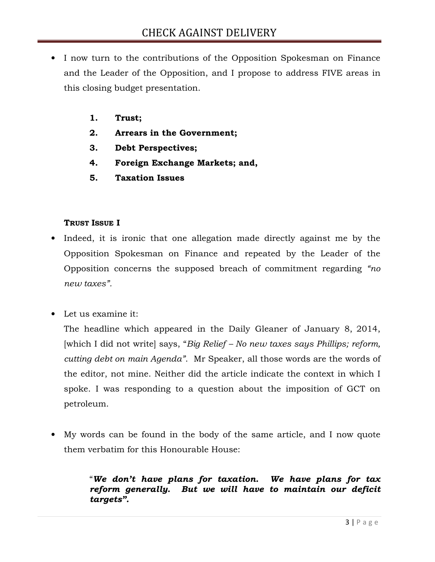- I now turn to the contributions of the Opposition Spokesman on Finance and the Leader of the Opposition, and I propose to address FIVE areas in this closing budget presentation.
	- 1. Trust;
	- 2. Arrears in the Government;
	- 3. Debt Perspectives;
	- 4. Foreign Exchange Markets; and,
	- 5. Taxation Issues

### TRUST ISSUE I

- Indeed, it is ironic that one allegation made directly against me by the Opposition Spokesman on Finance and repeated by the Leader of the Opposition concerns the supposed breach of commitment regarding "no new taxes".
- Let us examine it:

The headline which appeared in the Daily Gleaner of January 8, 2014, [which I did not write] says, "Big Relief – No new taxes says Phillips; reform, cutting debt on main Agenda". Mr Speaker, all those words are the words of the editor, not mine. Neither did the article indicate the context in which I spoke. I was responding to a question about the imposition of GCT on petroleum.

• My words can be found in the body of the same article, and I now quote them verbatim for this Honourable House:

## "We don't have plans for taxation. We have plans for tax reform generally. But we will have to maintain our deficit targets".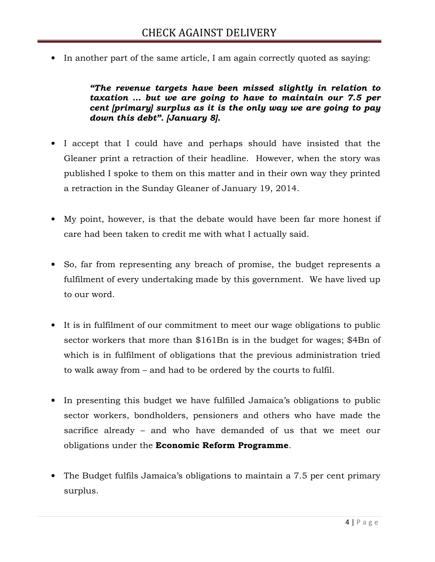• In another part of the same article, I am again correctly quoted as saying:

"The revenue targets have been missed slightly in relation to taxation … but we are going to have to maintain our 7.5 per cent [primary] surplus as it is the only way we are going to pay down this debt". [January 8].

- I accept that I could have and perhaps should have insisted that the Gleaner print a retraction of their headline. However, when the story was published I spoke to them on this matter and in their own way they printed a retraction in the Sunday Gleaner of January 19, 2014.
- My point, however, is that the debate would have been far more honest if care had been taken to credit me with what I actually said.
- So, far from representing any breach of promise, the budget represents a fulfilment of every undertaking made by this government. We have lived up to our word.
- It is in fulfilment of our commitment to meet our wage obligations to public sector workers that more than \$161Bn is in the budget for wages; \$4Bn of which is in fulfilment of obligations that the previous administration tried to walk away from – and had to be ordered by the courts to fulfil.
- In presenting this budget we have fulfilled Jamaica's obligations to public sector workers, bondholders, pensioners and others who have made the sacrifice already – and who have demanded of us that we meet our obligations under the **Economic Reform Programme**.
- The Budget fulfils Jamaica's obligations to maintain a 7.5 per cent primary surplus.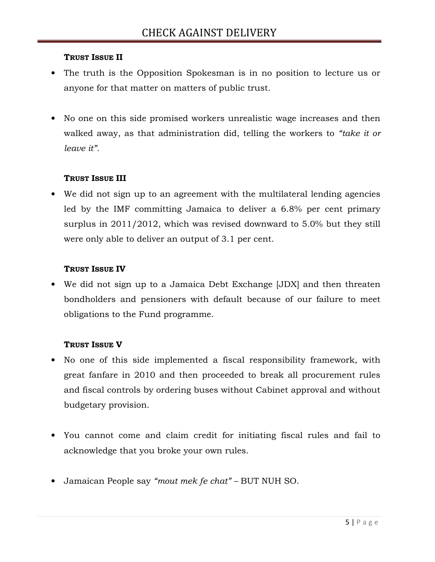## TRUST ISSUE II

- The truth is the Opposition Spokesman is in no position to lecture us or anyone for that matter on matters of public trust.
- No one on this side promised workers unrealistic wage increases and then walked away, as that administration did, telling the workers to "take it or leave it".

## TRUST ISSUE III

• We did not sign up to an agreement with the multilateral lending agencies led by the IMF committing Jamaica to deliver a 6.8% per cent primary surplus in 2011/2012, which was revised downward to 5.0% but they still were only able to deliver an output of 3.1 per cent.

## TRUST ISSUE IV

• We did not sign up to a Jamaica Debt Exchange [JDX] and then threaten bondholders and pensioners with default because of our failure to meet obligations to the Fund programme.

### TRUST ISSUE V

- No one of this side implemented a fiscal responsibility framework, with great fanfare in 2010 and then proceeded to break all procurement rules and fiscal controls by ordering buses without Cabinet approval and without budgetary provision.
- You cannot come and claim credit for initiating fiscal rules and fail to acknowledge that you broke your own rules.
- Jamaican People say "mout mek fe chat" BUT NUH SO.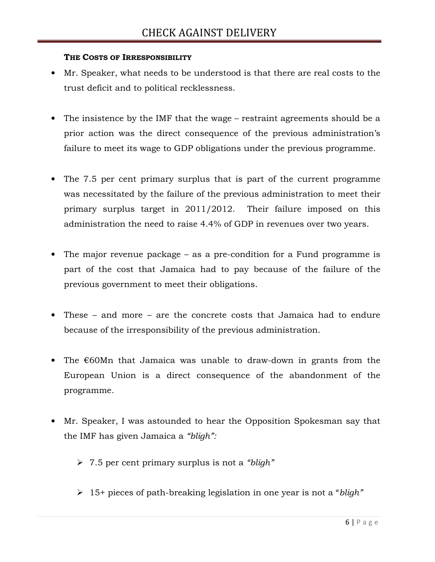### THE COSTS OF IRRESPONSIBILITY

- Mr. Speaker, what needs to be understood is that there are real costs to the trust deficit and to political recklessness.
- The insistence by the IMF that the wage restraint agreements should be a prior action was the direct consequence of the previous administration's failure to meet its wage to GDP obligations under the previous programme.
- The 7.5 per cent primary surplus that is part of the current programme was necessitated by the failure of the previous administration to meet their primary surplus target in 2011/2012. Their failure imposed on this administration the need to raise 4.4% of GDP in revenues over two years.
- The major revenue package as a pre-condition for a Fund programme is part of the cost that Jamaica had to pay because of the failure of the previous government to meet their obligations.
- These and more are the concrete costs that Jamaica had to endure because of the irresponsibility of the previous administration.
- The €60Mn that Jamaica was unable to draw-down in grants from the European Union is a direct consequence of the abandonment of the programme.
- Mr. Speaker, I was astounded to hear the Opposition Spokesman say that the IMF has given Jamaica a "bligh":
	- $\geq 7.5$  per cent primary surplus is not a "bligh"
	- $\geq 15+$  pieces of path-breaking legislation in one year is not a "bligh"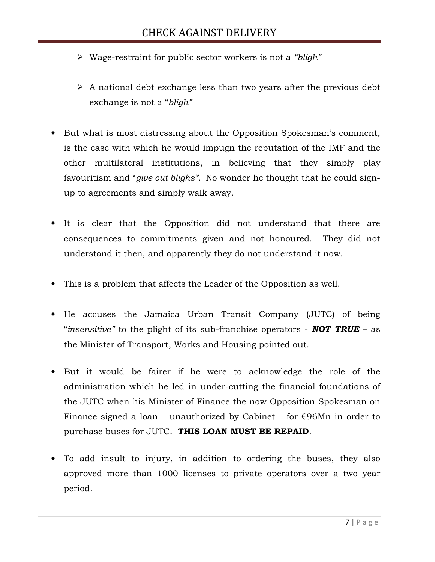- $\triangleright$  Wage-restraint for public sector workers is not a "bligh"
- $\triangleright$  A national debt exchange less than two years after the previous debt exchange is not a "bligh"
- But what is most distressing about the Opposition Spokesman's comment, is the ease with which he would impugn the reputation of the IMF and the other multilateral institutions, in believing that they simply play favouritism and "*give out blighs*". No wonder he thought that he could signup to agreements and simply walk away.
- It is clear that the Opposition did not understand that there are consequences to commitments given and not honoured. They did not understand it then, and apparently they do not understand it now.
- This is a problem that affects the Leader of the Opposition as well.
- He accuses the Jamaica Urban Transit Company (JUTC) of being "insensitive" to the plight of its sub-franchise operators - **NOT TRUE** – as the Minister of Transport, Works and Housing pointed out.
- But it would be fairer if he were to acknowledge the role of the administration which he led in under-cutting the financial foundations of the JUTC when his Minister of Finance the now Opposition Spokesman on Finance signed a loan – unauthorized by Cabinet – for  $\epsilon$ 96Mn in order to purchase buses for JUTC. THIS LOAN MUST BE REPAID.
- To add insult to injury, in addition to ordering the buses, they also approved more than 1000 licenses to private operators over a two year period.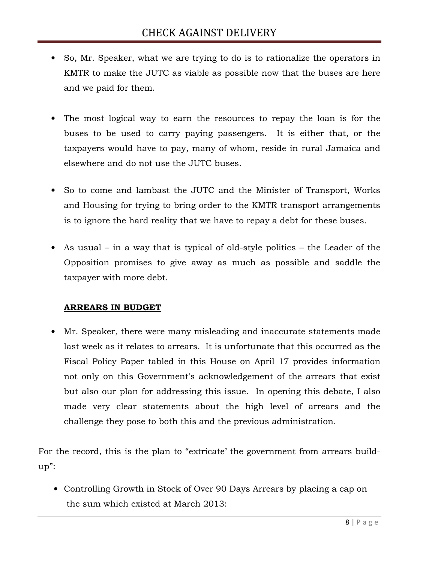- So, Mr. Speaker, what we are trying to do is to rationalize the operators in KMTR to make the JUTC as viable as possible now that the buses are here and we paid for them.
- The most logical way to earn the resources to repay the loan is for the buses to be used to carry paying passengers. It is either that, or the taxpayers would have to pay, many of whom, reside in rural Jamaica and elsewhere and do not use the JUTC buses.
- So to come and lambast the JUTC and the Minister of Transport, Works and Housing for trying to bring order to the KMTR transport arrangements is to ignore the hard reality that we have to repay a debt for these buses.
- As usual in a way that is typical of old-style politics the Leader of the Opposition promises to give away as much as possible and saddle the taxpayer with more debt.

## ARREARS IN BUDGET

• Mr. Speaker, there were many misleading and inaccurate statements made last week as it relates to arrears. It is unfortunate that this occurred as the Fiscal Policy Paper tabled in this House on April 17 provides information not only on this Government's acknowledgement of the arrears that exist but also our plan for addressing this issue. In opening this debate, I also made very clear statements about the high level of arrears and the challenge they pose to both this and the previous administration.

For the record, this is the plan to "extricate' the government from arrears buildup":

• Controlling Growth in Stock of Over 90 Days Arrears by placing a cap on the sum which existed at March 2013: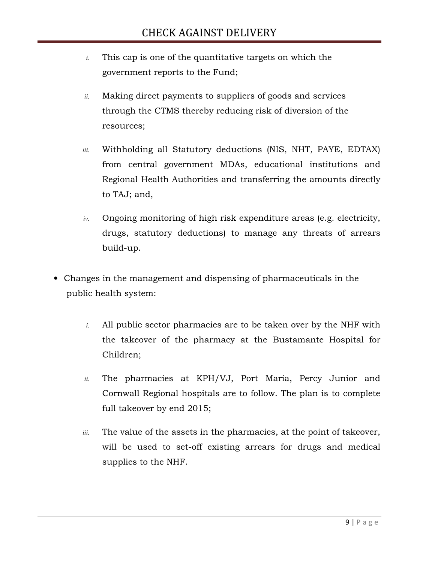- *i.* This cap is one of the quantitative targets on which the government reports to the Fund;
- *ii.* Making direct payments to suppliers of goods and services through the CTMS thereby reducing risk of diversion of the resources;
- *iii.* Withholding all Statutory deductions (NIS, NHT, PAYE, EDTAX) from central government MDAs, educational institutions and Regional Health Authorities and transferring the amounts directly to TAJ; and,
- *iv.* Ongoing monitoring of high risk expenditure areas (e.g. electricity, drugs, statutory deductions) to manage any threats of arrears build-up.
- Changes in the management and dispensing of pharmaceuticals in the public health system:
	- *i.* All public sector pharmacies are to be taken over by the NHF with the takeover of the pharmacy at the Bustamante Hospital for Children;
	- *ii.* The pharmacies at KPH/VJ, Port Maria, Percy Junior and Cornwall Regional hospitals are to follow. The plan is to complete full takeover by end 2015;
	- *iii.* The value of the assets in the pharmacies, at the point of takeover, will be used to set-off existing arrears for drugs and medical supplies to the NHF.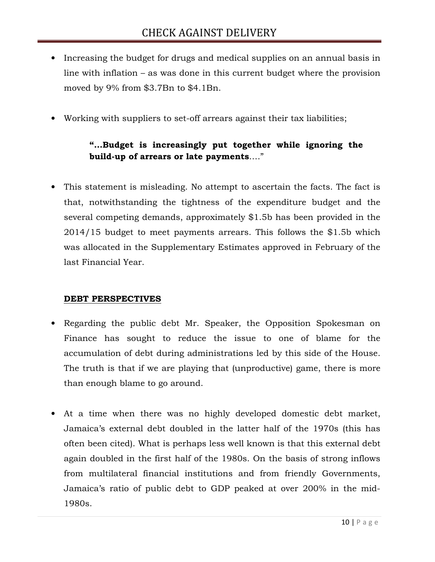- Increasing the budget for drugs and medical supplies on an annual basis in line with inflation – as was done in this current budget where the provision moved by 9% from \$3.7Bn to \$4.1Bn.
- Working with suppliers to set-off arrears against their tax liabilities;

# "…Budget is increasingly put together while ignoring the build-up of arrears or late payments…."

• This statement is misleading. No attempt to ascertain the facts. The fact is that, notwithstanding the tightness of the expenditure budget and the several competing demands, approximately \$1.5b has been provided in the 2014/15 budget to meet payments arrears. This follows the \$1.5b which was allocated in the Supplementary Estimates approved in February of the last Financial Year.

### DEBT PERSPECTIVES

- Regarding the public debt Mr. Speaker, the Opposition Spokesman on Finance has sought to reduce the issue to one of blame for the accumulation of debt during administrations led by this side of the House. The truth is that if we are playing that (unproductive) game, there is more than enough blame to go around.
- At a time when there was no highly developed domestic debt market, Jamaica's external debt doubled in the latter half of the 1970s (this has often been cited). What is perhaps less well known is that this external debt again doubled in the first half of the 1980s. On the basis of strong inflows from multilateral financial institutions and from friendly Governments, Jamaica's ratio of public debt to GDP peaked at over 200% in the mid-1980s.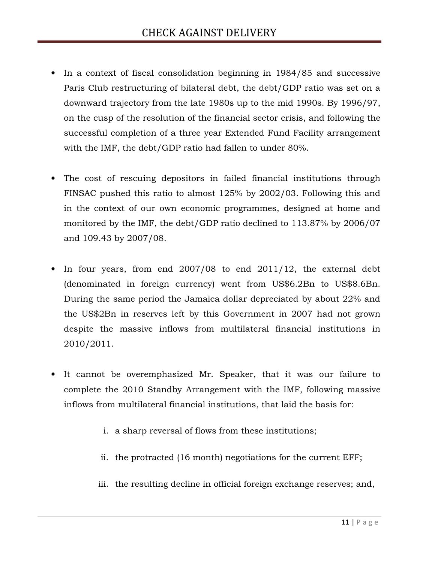- In a context of fiscal consolidation beginning in 1984/85 and successive Paris Club restructuring of bilateral debt, the debt/GDP ratio was set on a downward trajectory from the late 1980s up to the mid 1990s. By 1996/97, on the cusp of the resolution of the financial sector crisis, and following the successful completion of a three year Extended Fund Facility arrangement with the IMF, the debt/GDP ratio had fallen to under 80%.
- The cost of rescuing depositors in failed financial institutions through FINSAC pushed this ratio to almost 125% by 2002/03. Following this and in the context of our own economic programmes, designed at home and monitored by the IMF, the debt/GDP ratio declined to 113.87% by 2006/07 and 109.43 by 2007/08.
- In four years, from end 2007/08 to end 2011/12, the external debt (denominated in foreign currency) went from US\$6.2Bn to US\$8.6Bn. During the same period the Jamaica dollar depreciated by about 22% and the US\$2Bn in reserves left by this Government in 2007 had not grown despite the massive inflows from multilateral financial institutions in 2010/2011.
- It cannot be overemphasized Mr. Speaker, that it was our failure to complete the 2010 Standby Arrangement with the IMF, following massive inflows from multilateral financial institutions, that laid the basis for:
	- i. a sharp reversal of flows from these institutions;
	- ii. the protracted (16 month) negotiations for the current EFF;
	- iii. the resulting decline in official foreign exchange reserves; and,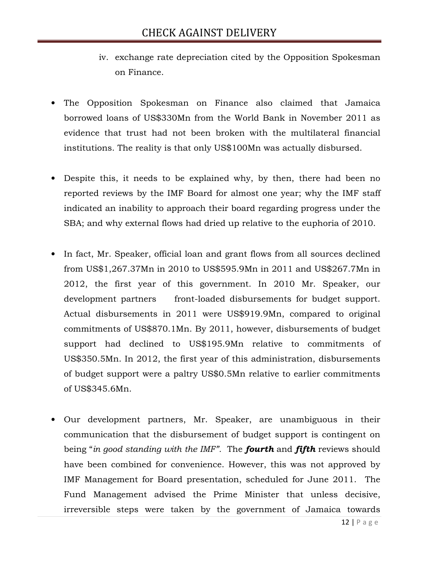- iv. exchange rate depreciation cited by the Opposition Spokesman on Finance.
- The Opposition Spokesman on Finance also claimed that Jamaica borrowed loans of US\$330Mn from the World Bank in November 2011 as evidence that trust had not been broken with the multilateral financial institutions. The reality is that only US\$100Mn was actually disbursed.
- Despite this, it needs to be explained why, by then, there had been no reported reviews by the IMF Board for almost one year; why the IMF staff indicated an inability to approach their board regarding progress under the SBA; and why external flows had dried up relative to the euphoria of 2010.
- In fact, Mr. Speaker, official loan and grant flows from all sources declined from US\$1,267.37Mn in 2010 to US\$595.9Mn in 2011 and US\$267.7Mn in 2012, the first year of this government. In 2010 Mr. Speaker, our development partners front-loaded disbursements for budget support. Actual disbursements in 2011 were US\$919.9Mn, compared to original commitments of US\$870.1Mn. By 2011, however, disbursements of budget support had declined to US\$195.9Mn relative to commitments of US\$350.5Mn. In 2012, the first year of this administration, disbursements of budget support were a paltry US\$0.5Mn relative to earlier commitments of US\$345.6Mn.
- Our development partners, Mr. Speaker, are unambiguous in their communication that the disbursement of budget support is contingent on being "in good standing with the IMF". The **fourth** and **fifth** reviews should have been combined for convenience. However, this was not approved by IMF Management for Board presentation, scheduled for June 2011. The Fund Management advised the Prime Minister that unless decisive, irreversible steps were taken by the government of Jamaica towards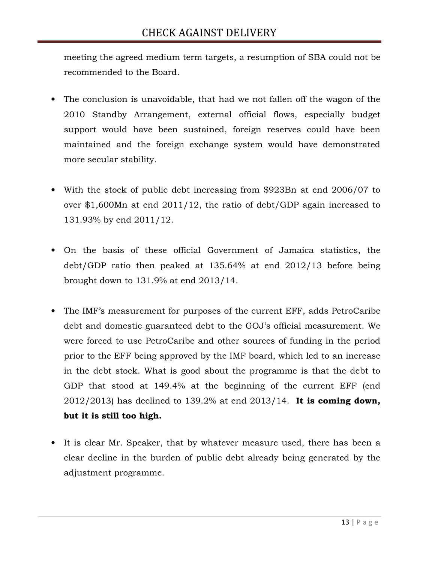meeting the agreed medium term targets, a resumption of SBA could not be recommended to the Board.

- The conclusion is unavoidable, that had we not fallen off the wagon of the 2010 Standby Arrangement, external official flows, especially budget support would have been sustained, foreign reserves could have been maintained and the foreign exchange system would have demonstrated more secular stability.
- With the stock of public debt increasing from \$923Bn at end 2006/07 to over \$1,600Mn at end 2011/12, the ratio of debt/GDP again increased to 131.93% by end 2011/12.
- On the basis of these official Government of Jamaica statistics, the debt/GDP ratio then peaked at 135.64% at end 2012/13 before being brought down to 131.9% at end 2013/14.
- The IMF's measurement for purposes of the current EFF, adds PetroCaribe debt and domestic guaranteed debt to the GOJ's official measurement. We were forced to use PetroCaribe and other sources of funding in the period prior to the EFF being approved by the IMF board, which led to an increase in the debt stock. What is good about the programme is that the debt to GDP that stood at 149.4% at the beginning of the current EFF (end  $2012/2013$ ) has declined to 139.2% at end  $2013/14$ . It is coming down, but it is still too high.
- It is clear Mr. Speaker, that by whatever measure used, there has been a clear decline in the burden of public debt already being generated by the adjustment programme.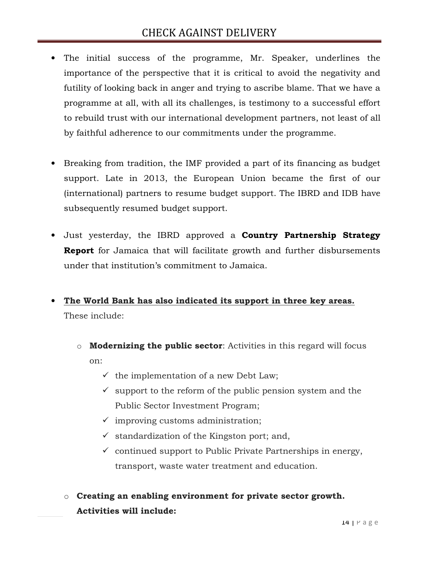- The initial success of the programme, Mr. Speaker, underlines the importance of the perspective that it is critical to avoid the negativity and futility of looking back in anger and trying to ascribe blame. That we have a programme at all, with all its challenges, is testimony to a successful effort to rebuild trust with our international development partners, not least of all by faithful adherence to our commitments under the programme.
- Breaking from tradition, the IMF provided a part of its financing as budget support. Late in 2013, the European Union became the first of our (international) partners to resume budget support. The IBRD and IDB have subsequently resumed budget support.
- Just yesterday, the IBRD approved a **Country Partnership Strategy Report** for Jamaica that will facilitate growth and further disbursements under that institution's commitment to Jamaica.
- The World Bank has also indicated its support in three key areas. These include:
	- $\circ$  **Modernizing the public sector**: Activities in this regard will focus on:
		- $\checkmark$  the implementation of a new Debt Law;
		- $\checkmark$  support to the reform of the public pension system and the Public Sector Investment Program;
		- $\checkmark$  improving customs administration;
		- standardization of the Kingston port; and,
		- $\checkmark$  continued support to Public Private Partnerships in energy, transport, waste water treatment and education.
	- $\circ$  Creating an enabling environment for private sector growth. Activities will include: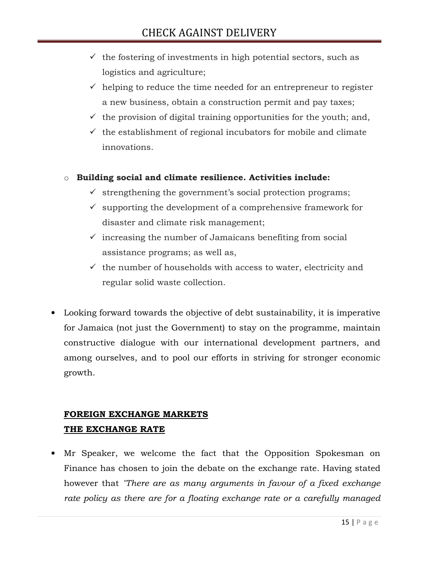- $\checkmark$  the fostering of investments in high potential sectors, such as logistics and agriculture;
- $\checkmark$  helping to reduce the time needed for an entrepreneur to register a new business, obtain a construction permit and pay taxes;
- $\checkmark$  the provision of digital training opportunities for the youth; and,
- $\checkmark$  the establishment of regional incubators for mobile and climate innovations.

## o Building social and climate resilience. Activities include:

- strengthening the government's social protection programs;
- $\checkmark$  supporting the development of a comprehensive framework for disaster and climate risk management;
- increasing the number of Jamaicans benefiting from social assistance programs; as well as,
- $\checkmark\;$  the number of households with access to water, electricity and regular solid waste collection.
- Looking forward towards the objective of debt sustainability, it is imperative for Jamaica (not just the Government) to stay on the programme, maintain constructive dialogue with our international development partners, and among ourselves, and to pool our efforts in striving for stronger economic growth.

# FOREIGN EXCHANGE MARKETS THE EXCHANGE RATE

• Mr Speaker, we welcome the fact that the Opposition Spokesman on Finance has chosen to join the debate on the exchange rate. Having stated however that "There are as many arguments in favour of a fixed exchange rate policy as there are for a floating exchange rate or a carefully managed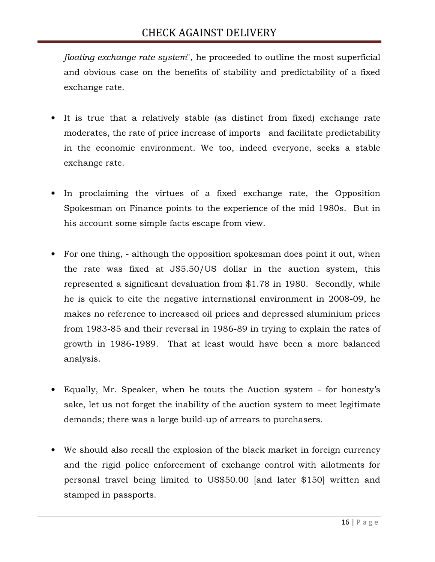floating exchange rate system", he proceeded to outline the most superficial and obvious case on the benefits of stability and predictability of a fixed exchange rate.

- It is true that a relatively stable (as distinct from fixed) exchange rate moderates, the rate of price increase of imports and facilitate predictability in the economic environment. We too, indeed everyone, seeks a stable exchange rate.
- In proclaiming the virtues of a fixed exchange rate, the Opposition Spokesman on Finance points to the experience of the mid 1980s. But in his account some simple facts escape from view.
- For one thing, although the opposition spokesman does point it out, when the rate was fixed at J\$5.50/US dollar in the auction system, this represented a significant devaluation from \$1.78 in 1980. Secondly, while he is quick to cite the negative international environment in 2008-09, he makes no reference to increased oil prices and depressed aluminium prices from 1983-85 and their reversal in 1986-89 in trying to explain the rates of growth in 1986-1989. That at least would have been a more balanced analysis.
- Equally, Mr. Speaker, when he touts the Auction system for honesty's sake, let us not forget the inability of the auction system to meet legitimate demands; there was a large build-up of arrears to purchasers.
- We should also recall the explosion of the black market in foreign currency and the rigid police enforcement of exchange control with allotments for personal travel being limited to US\$50.00 [and later \$150] written and stamped in passports.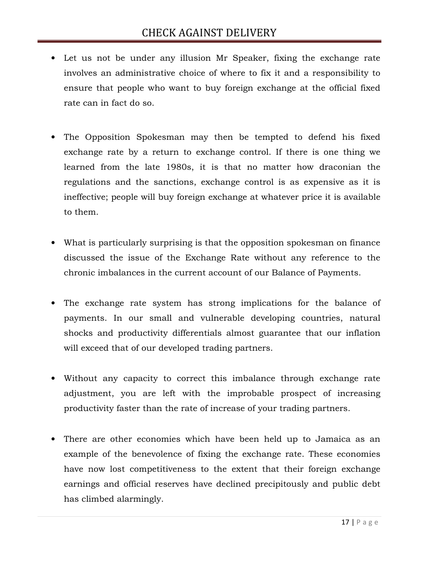- Let us not be under any illusion Mr Speaker, fixing the exchange rate involves an administrative choice of where to fix it and a responsibility to ensure that people who want to buy foreign exchange at the official fixed rate can in fact do so.
- The Opposition Spokesman may then be tempted to defend his fixed exchange rate by a return to exchange control. If there is one thing we learned from the late 1980s, it is that no matter how draconian the regulations and the sanctions, exchange control is as expensive as it is ineffective; people will buy foreign exchange at whatever price it is available to them.
- What is particularly surprising is that the opposition spokesman on finance discussed the issue of the Exchange Rate without any reference to the chronic imbalances in the current account of our Balance of Payments.
- The exchange rate system has strong implications for the balance of payments. In our small and vulnerable developing countries, natural shocks and productivity differentials almost guarantee that our inflation will exceed that of our developed trading partners.
- Without any capacity to correct this imbalance through exchange rate adjustment, you are left with the improbable prospect of increasing productivity faster than the rate of increase of your trading partners.
- There are other economies which have been held up to Jamaica as an example of the benevolence of fixing the exchange rate. These economies have now lost competitiveness to the extent that their foreign exchange earnings and official reserves have declined precipitously and public debt has climbed alarmingly.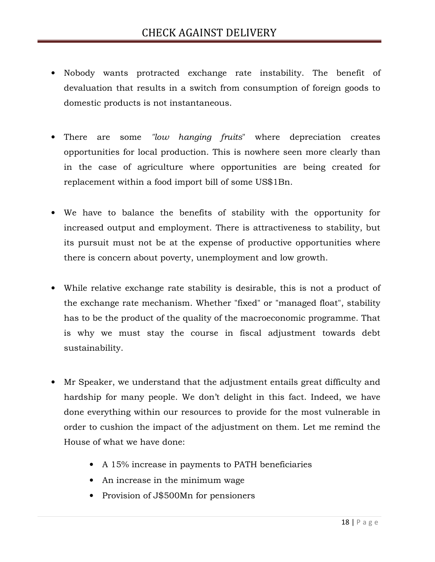- Nobody wants protracted exchange rate instability. The benefit of devaluation that results in a switch from consumption of foreign goods to domestic products is not instantaneous.
- There are some "low hanging fruits" where depreciation creates opportunities for local production. This is nowhere seen more clearly than in the case of agriculture where opportunities are being created for replacement within a food import bill of some US\$1Bn.
- We have to balance the benefits of stability with the opportunity for increased output and employment. There is attractiveness to stability, but its pursuit must not be at the expense of productive opportunities where there is concern about poverty, unemployment and low growth.
- While relative exchange rate stability is desirable, this is not a product of the exchange rate mechanism. Whether "fixed" or "managed float", stability has to be the product of the quality of the macroeconomic programme. That is why we must stay the course in fiscal adjustment towards debt sustainability.
- Mr Speaker, we understand that the adjustment entails great difficulty and hardship for many people. We don't delight in this fact. Indeed, we have done everything within our resources to provide for the most vulnerable in order to cushion the impact of the adjustment on them. Let me remind the House of what we have done:
	- A 15% increase in payments to PATH beneficiaries
	- An increase in the minimum wage
	- Provision of J\$500Mn for pensioners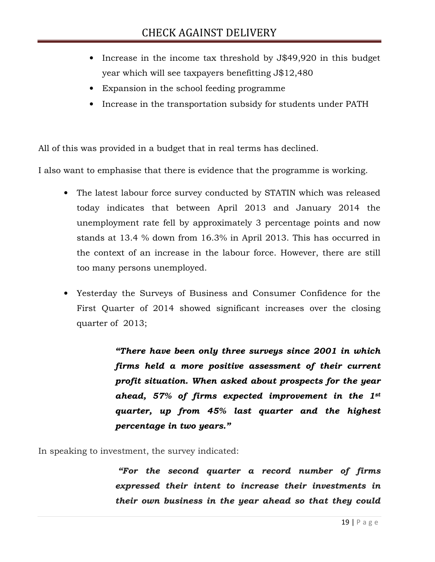- Increase in the income tax threshold by J\$49,920 in this budget year which will see taxpayers benefitting J\$12,480
- Expansion in the school feeding programme
- Increase in the transportation subsidy for students under PATH

All of this was provided in a budget that in real terms has declined.

I also want to emphasise that there is evidence that the programme is working.

- The latest labour force survey conducted by STATIN which was released today indicates that between April 2013 and January 2014 the unemployment rate fell by approximately 3 percentage points and now stands at 13.4 % down from 16.3% in April 2013. This has occurred in the context of an increase in the labour force. However, there are still too many persons unemployed.
- Yesterday the Surveys of Business and Consumer Confidence for the First Quarter of 2014 showed significant increases over the closing quarter of 2013;

"There have been only three surveys since 2001 in which firms held a more positive assessment of their current profit situation. When asked about prospects for the year ahead, 57% of firms expected improvement in the 1st quarter, up from 45% last quarter and the highest percentage in two years."

In speaking to investment, the survey indicated:

 "For the second quarter a record number of firms expressed their intent to increase their investments in their own business in the year ahead so that they could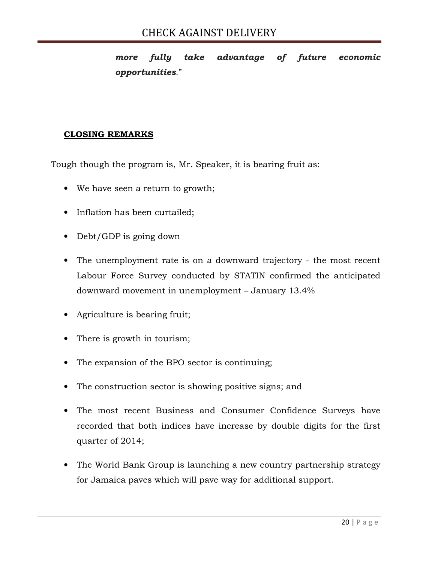more fully take advantage of future economic opportunities."

## CLOSING REMARKS

Tough though the program is, Mr. Speaker, it is bearing fruit as:

- We have seen a return to growth;
- Inflation has been curtailed;
- Debt/GDP is going down
- The unemployment rate is on a downward trajectory the most recent Labour Force Survey conducted by STATIN confirmed the anticipated downward movement in unemployment – January 13.4%
- Agriculture is bearing fruit;
- There is growth in tourism;
- The expansion of the BPO sector is continuing;
- The construction sector is showing positive signs; and
- The most recent Business and Consumer Confidence Surveys have recorded that both indices have increase by double digits for the first quarter of 2014;
- The World Bank Group is launching a new country partnership strategy for Jamaica paves which will pave way for additional support.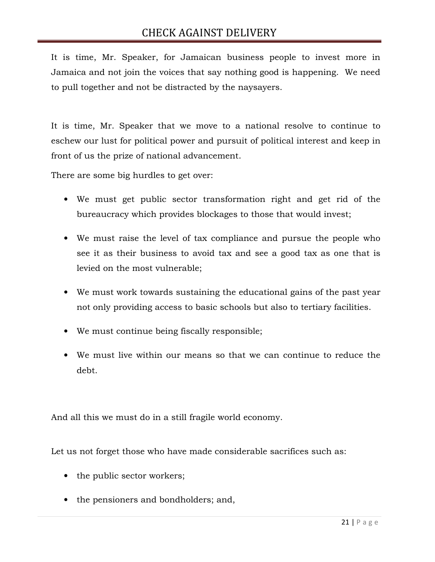It is time, Mr. Speaker, for Jamaican business people to invest more in Jamaica and not join the voices that say nothing good is happening. We need to pull together and not be distracted by the naysayers.

It is time, Mr. Speaker that we move to a national resolve to continue to eschew our lust for political power and pursuit of political interest and keep in front of us the prize of national advancement.

There are some big hurdles to get over:

- We must get public sector transformation right and get rid of the bureaucracy which provides blockages to those that would invest;
- We must raise the level of tax compliance and pursue the people who see it as their business to avoid tax and see a good tax as one that is levied on the most vulnerable;
- We must work towards sustaining the educational gains of the past year not only providing access to basic schools but also to tertiary facilities.
- We must continue being fiscally responsible;
- We must live within our means so that we can continue to reduce the debt.

And all this we must do in a still fragile world economy.

Let us not forget those who have made considerable sacrifices such as:

- the public sector workers;
- the pensioners and bondholders; and,